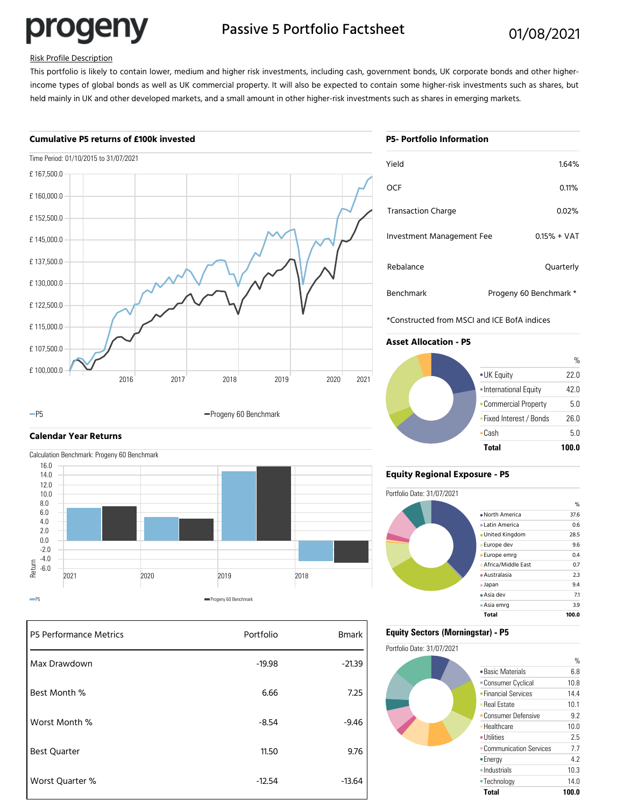progeny

# Passive 5 Portfolio Factsheet 01/08/2021

## Risk Profile Description

This portfolio is likely to contain lower, medium and higher risk investments, including cash, government bonds, UK corporate bonds and other higherincome types of global bonds as well as UK commercial property. It will also be expected to contain some higher-risk investments such as shares, but held mainly in UK and other developed markets, and a small amount in other higher-risk investments such as shares in emerging markets.

### **Cumulative P5 returns of £100k invested**



#### -P5 **Progeny 60 Benchmark**

# **Calendar Year Returns**

Calculation Benchmark: Progeny 60 Benchmark 16.0



| <b>P5 Performance Metrics</b> | Portfolio | <b>Bmark</b> |
|-------------------------------|-----------|--------------|
| Max Drawdown                  | $-19.98$  | $-21.39$     |
| Best Month %                  | 6.66      | 7.25         |
| Worst Month %                 | $-8.54$   | $-9.46$      |
| <b>Best Quarter</b>           | 11.50     | 9.76         |
| Worst Quarter %               | $-12.54$  | $-13.64$     |

|  | <b>P5- Portfolio Information</b> |
|--|----------------------------------|

| Yield                     | 1.64%                  |
|---------------------------|------------------------|
| OCF                       | 0.11%                  |
| <b>Transaction Charge</b> | 0.02%                  |
| Investment Management Fee | $0.15% + VAT$          |
| Rebalance                 | Quarterly              |
| <b>Benchmark</b>          | Progeny 60 Benchmark * |

\*Constructed from MSCI and ICE BofA indices

# **Asset Allocation - P5**



# **Equity Regional Exposure - P5**



## **Equity Sectors (Morningstar) - P5**